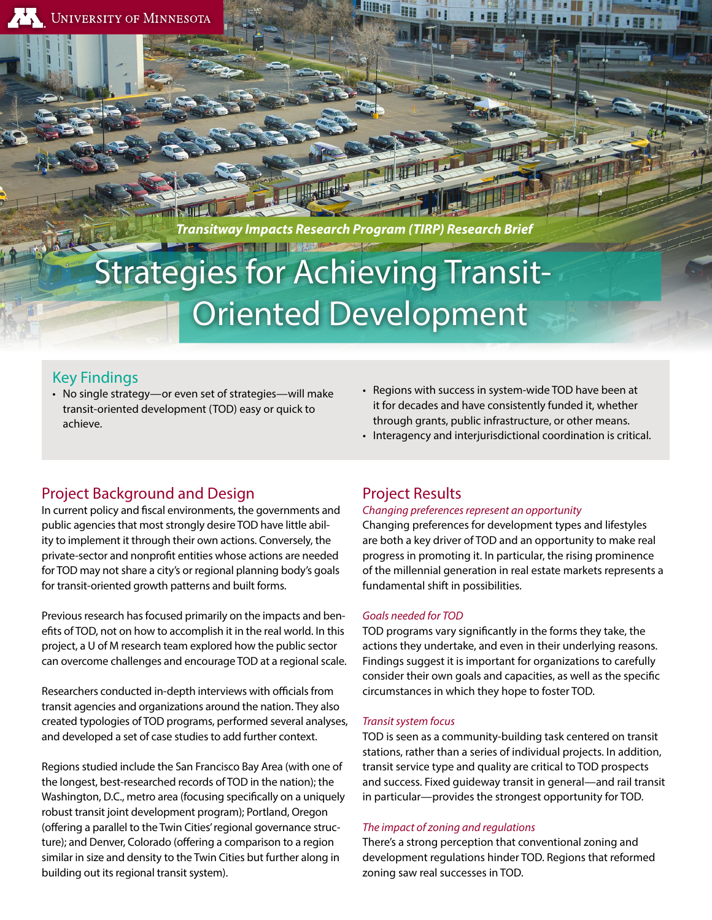*Transitway Impacts Research Program (TIRP) Research Brief*

# Strategies for Achieving Transit- Oriented Development

### Key Findings

• No single strategy—or even set of strategies—will make transit-oriented development (TOD) easy or quick to achieve.

# Project Background and Design

In current policy and fiscal environments, the governments and public agencies that most strongly desire TOD have little ability to implement it through their own actions. Conversely, the private-sector and nonprofit entities whose actions are needed for TOD may not share a city's or regional planning body's goals for transit-oriented growth patterns and built forms.

Previous research has focused primarily on the impacts and benefits of TOD, not on how to accomplish it in the real world. In this project, a U of M research team explored how the public sector can overcome challenges and encourage TOD at a regional scale.

Researchers conducted in-depth interviews with officials from transit agencies and organizations around the nation. They also created typologies of TOD programs, performed several analyses, and developed a set of case studies to add further context.

Regions studied include the San Francisco Bay Area (with one of the longest, best-researched records of TOD in the nation); the Washington, D.C., metro area (focusing specifically on a uniquely robust transit joint development program); Portland, Oregon (offering a parallel to the Twin Cities' regional governance structure); and Denver, Colorado (offering a comparison to a region similar in size and density to the Twin Cities but further along in building out its regional transit system).

- Regions with success in system-wide TOD have been at it for decades and have consistently funded it, whether through grants, public infrastructure, or other means.
- Interagency and interjurisdictional coordination is critical.

# Project Results

#### *Changing preferences represent an opportunity*

Changing preferences for development types and lifestyles are both a key driver of TOD and an opportunity to make real progress in promoting it. In particular, the rising prominence of the millennial generation in real estate markets represents a fundamental shift in possibilities.

#### *Goals needed for TOD*

TOD programs vary significantly in the forms they take, the actions they undertake, and even in their underlying reasons. Findings suggest it is important for organizations to carefully consider their own goals and capacities, as well as the specific circumstances in which they hope to foster TOD.

#### *Transit system focus*

TOD is seen as a community-building task centered on transit stations, rather than a series of individual projects. In addition, transit service type and quality are critical to TOD prospects and success. Fixed guideway transit in general—and rail transit in particular—provides the strongest opportunity for TOD.

#### *The impact of zoning and regulations*

There's a strong perception that conventional zoning and development regulations hinder TOD. Regions that reformed zoning saw real successes in TOD.